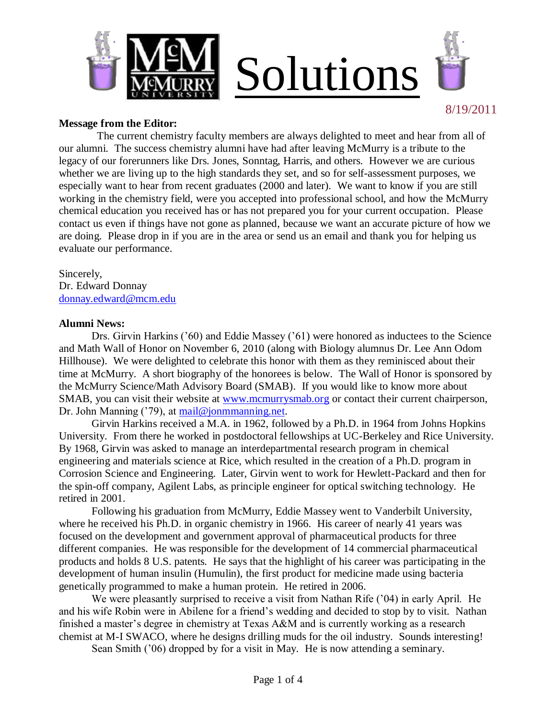



8/19/2011

#### **Message from the Editor:**

 The current chemistry faculty members are always delighted to meet and hear from all of our alumni. The success chemistry alumni have had after leaving McMurry is a tribute to the legacy of our forerunners like Drs. Jones, Sonntag, Harris, and others. However we are curious whether we are living up to the high standards they set, and so for self-assessment purposes, we especially want to hear from recent graduates (2000 and later). We want to know if you are still working in the chemistry field, were you accepted into professional school, and how the McMurry chemical education you received has or has not prepared you for your current occupation. Please contact us even if things have not gone as planned, because we want an accurate picture of how we are doing. Please drop in if you are in the area or send us an email and thank you for helping us evaluate our performance.

Sincerely, Dr. Edward Donnay [donnay.edward@mcm.edu](mailto:donnay.edward@mcm.edu)

#### **Alumni News:**

Drs. Girvin Harkins ('60) and Eddie Massey ('61) were honored as inductees to the Science and Math Wall of Honor on November 6, 2010 (along with Biology alumnus Dr. Lee Ann Odom Hillhouse). We were delighted to celebrate this honor with them as they reminisced about their time at McMurry. A short biography of the honorees is below. The Wall of Honor is sponsored by the McMurry Science/Math Advisory Board (SMAB). If you would like to know more about SMAB, you can visit their website at [www.mcmurrysmab.org](http://www.mcmurrysmab.org/) or contact their current chairperson, Dr. John Manning ('79), at [mail@jonmmanning.net.](mailto:mail@jonmmanning.net)

Girvin Harkins received a M.A. in 1962, followed by a Ph.D. in 1964 from Johns Hopkins University. From there he worked in postdoctoral fellowships at UC-Berkeley and Rice University. By 1968, Girvin was asked to manage an interdepartmental research program in chemical engineering and materials science at Rice, which resulted in the creation of a Ph.D. program in Corrosion Science and Engineering. Later, Girvin went to work for Hewlett-Packard and then for the spin-off company, Agilent Labs, as principle engineer for optical switching technology. He retired in 2001.

Following his graduation from McMurry, Eddie Massey went to Vanderbilt University, where he received his Ph.D. in organic chemistry in 1966. His career of nearly 41 years was focused on the development and government approval of pharmaceutical products for three different companies. He was responsible for the development of 14 commercial pharmaceutical products and holds 8 U.S. patents. He says that the highlight of his career was participating in the development of human insulin (Humulin), the first product for medicine made using bacteria genetically programmed to make a human protein. He retired in 2006.

We were pleasantly surprised to receive a visit from Nathan Rife ('04) in early April. He and his wife Robin were in Abilene for a friend"s wedding and decided to stop by to visit. Nathan finished a master's degree in chemistry at Texas A&M and is currently working as a research chemist at M-I SWACO, where he designs drilling muds for the oil industry. Sounds interesting!

Sean Smith ('06) dropped by for a visit in May. He is now attending a seminary.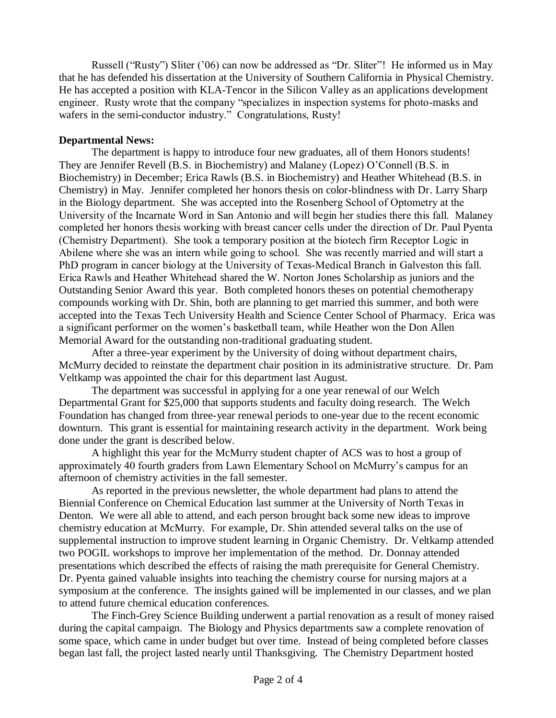Russell ("Rusty") Sliter ("06) can now be addressed as "Dr. Sliter"! He informed us in May that he has defended his dissertation at the University of Southern California in Physical Chemistry. He has accepted a position with KLA-Tencor in the Silicon Valley as an applications development engineer. Rusty wrote that the company "specializes in inspection systems for photo-masks and wafers in the semi-conductor industry." Congratulations, Rusty!

### **Departmental News:**

The department is happy to introduce four new graduates, all of them Honors students! They are Jennifer Revell (B.S. in Biochemistry) and Malaney (Lopez) O"Connell (B.S. in Biochemistry) in December; Erica Rawls (B.S. in Biochemistry) and Heather Whitehead (B.S. in Chemistry) in May. Jennifer completed her honors thesis on color-blindness with Dr. Larry Sharp in the Biology department. She was accepted into the Rosenberg School of Optometry at the University of the Incarnate Word in San Antonio and will begin her studies there this fall. Malaney completed her honors thesis working with breast cancer cells under the direction of Dr. Paul Pyenta (Chemistry Department). She took a temporary position at the biotech firm Receptor Logic in Abilene where she was an intern while going to school. She was recently married and will start a PhD program in cancer biology at the University of Texas-Medical Branch in Galveston this fall. Erica Rawls and Heather Whitehead shared the W. Norton Jones Scholarship as juniors and the Outstanding Senior Award this year. Both completed honors theses on potential chemotherapy compounds working with Dr. Shin, both are planning to get married this summer, and both were accepted into the Texas Tech University Health and Science Center School of Pharmacy. Erica was a significant performer on the women"s basketball team, while Heather won the Don Allen Memorial Award for the outstanding non-traditional graduating student.

After a three-year experiment by the University of doing without department chairs, McMurry decided to reinstate the department chair position in its administrative structure. Dr. Pam Veltkamp was appointed the chair for this department last August.

The department was successful in applying for a one year renewal of our Welch Departmental Grant for \$25,000 that supports students and faculty doing research. The Welch Foundation has changed from three-year renewal periods to one-year due to the recent economic downturn. This grant is essential for maintaining research activity in the department. Work being done under the grant is described below.

A highlight this year for the McMurry student chapter of ACS was to host a group of approximately 40 fourth graders from Lawn Elementary School on McMurry"s campus for an afternoon of chemistry activities in the fall semester.

As reported in the previous newsletter, the whole department had plans to attend the Biennial Conference on Chemical Education last summer at the University of North Texas in Denton. We were all able to attend, and each person brought back some new ideas to improve chemistry education at McMurry. For example, Dr. Shin attended several talks on the use of supplemental instruction to improve student learning in Organic Chemistry. Dr. Veltkamp attended two POGIL workshops to improve her implementation of the method. Dr. Donnay attended presentations which described the effects of raising the math prerequisite for General Chemistry. Dr. Pyenta gained valuable insights into teaching the chemistry course for nursing majors at a symposium at the conference. The insights gained will be implemented in our classes, and we plan to attend future chemical education conferences.

The Finch-Grey Science Building underwent a partial renovation as a result of money raised during the capital campaign. The Biology and Physics departments saw a complete renovation of some space, which came in under budget but over time. Instead of being completed before classes began last fall, the project lasted nearly until Thanksgiving. The Chemistry Department hosted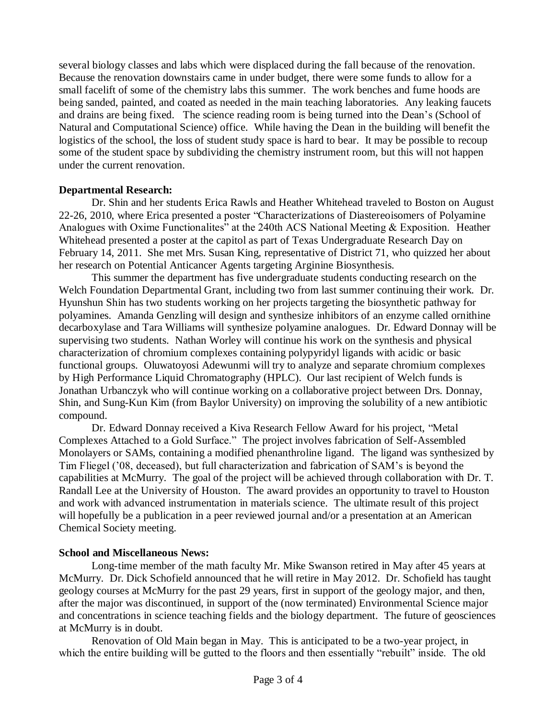several biology classes and labs which were displaced during the fall because of the renovation. Because the renovation downstairs came in under budget, there were some funds to allow for a small facelift of some of the chemistry labs this summer. The work benches and fume hoods are being sanded, painted, and coated as needed in the main teaching laboratories. Any leaking faucets and drains are being fixed. The science reading room is being turned into the Dean"s (School of Natural and Computational Science) office. While having the Dean in the building will benefit the logistics of the school, the loss of student study space is hard to bear. It may be possible to recoup some of the student space by subdividing the chemistry instrument room, but this will not happen under the current renovation.

### **Departmental Research:**

Dr. Shin and her students Erica Rawls and Heather Whitehead traveled to Boston on August 22-26, 2010, where Erica presented a poster "Characterizations of Diastereoisomers of Polyamine Analogues with Oxime Functionalites" at the 240th ACS National Meeting & Exposition. Heather Whitehead presented a poster at the capitol as part of Texas Undergraduate Research Day on February 14, 2011. She met Mrs. Susan King, representative of District 71, who quizzed her about her research on Potential Anticancer Agents targeting Arginine Biosynthesis.

This summer the department has five undergraduate students conducting research on the Welch Foundation Departmental Grant, including two from last summer continuing their work. Dr. Hyunshun Shin has two students working on her projects targeting the biosynthetic pathway for polyamines. Amanda Genzling will design and synthesize inhibitors of an enzyme called ornithine decarboxylase and Tara Williams will synthesize polyamine analogues. Dr. Edward Donnay will be supervising two students. Nathan Worley will continue his work on the synthesis and physical characterization of chromium complexes containing polypyridyl ligands with acidic or basic functional groups. Oluwatoyosi Adewunmi will try to analyze and separate chromium complexes by High Performance Liquid Chromatography (HPLC). Our last recipient of Welch funds is Jonathan Urbanczyk who will continue working on a collaborative project between Drs. Donnay, Shin, and Sung-Kun Kim (from Baylor University) on improving the solubility of a new antibiotic compound.

Dr. Edward Donnay received a Kiva Research Fellow Award for his project, "Metal Complexes Attached to a Gold Surface." The project involves fabrication of Self-Assembled Monolayers or SAMs, containing a modified phenanthroline ligand. The ligand was synthesized by Tim Fliegel ("08, deceased), but full characterization and fabrication of SAM"s is beyond the capabilities at McMurry. The goal of the project will be achieved through collaboration with Dr. T. Randall Lee at the University of Houston. The award provides an opportunity to travel to Houston and work with advanced instrumentation in materials science. The ultimate result of this project will hopefully be a publication in a peer reviewed journal and/or a presentation at an American Chemical Society meeting.

# **School and Miscellaneous News:**

Long-time member of the math faculty Mr. Mike Swanson retired in May after 45 years at McMurry. Dr. Dick Schofield announced that he will retire in May 2012. Dr. Schofield has taught geology courses at McMurry for the past 29 years, first in support of the geology major, and then, after the major was discontinued, in support of the (now terminated) Environmental Science major and concentrations in science teaching fields and the biology department. The future of geosciences at McMurry is in doubt.

Renovation of Old Main began in May. This is anticipated to be a two-year project, in which the entire building will be gutted to the floors and then essentially "rebuilt" inside. The old